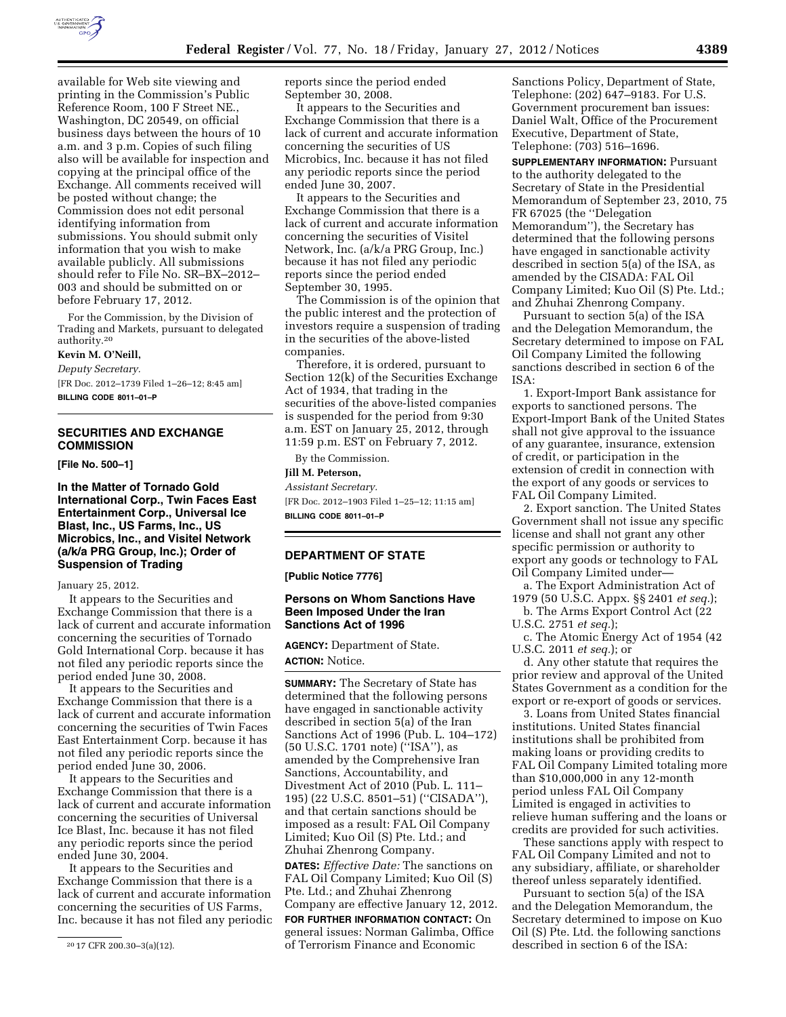

available for Web site viewing and printing in the Commission's Public Reference Room, 100 F Street NE., Washington, DC 20549, on official business days between the hours of 10 a.m. and 3 p.m. Copies of such filing also will be available for inspection and copying at the principal office of the Exchange. All comments received will be posted without change; the Commission does not edit personal identifying information from submissions. You should submit only information that you wish to make available publicly. All submissions should refer to File No. SR–BX–2012– 003 and should be submitted on or before February 17, 2012.

For the Commission, by the Division of Trading and Markets, pursuant to delegated authority.20

### **Kevin M. O'Neill,**

*Deputy Secretary.*  [FR Doc. 2012–1739 Filed 1–26–12; 8:45 am] **BILLING CODE 8011–01–P** 

# **SECURITIES AND EXCHANGE COMMISSION**

**[File No. 500–1]** 

# **In the Matter of Tornado Gold International Corp., Twin Faces East Entertainment Corp., Universal Ice Blast, Inc., US Farms, Inc., US Microbics, Inc., and Visitel Network (a/k/a PRG Group, Inc.); Order of Suspension of Trading**

### January 25, 2012.

It appears to the Securities and Exchange Commission that there is a lack of current and accurate information concerning the securities of Tornado Gold International Corp. because it has not filed any periodic reports since the period ended June 30, 2008.

It appears to the Securities and Exchange Commission that there is a lack of current and accurate information concerning the securities of Twin Faces East Entertainment Corp. because it has not filed any periodic reports since the period ended June 30, 2006.

It appears to the Securities and Exchange Commission that there is a lack of current and accurate information concerning the securities of Universal Ice Blast, Inc. because it has not filed any periodic reports since the period ended June 30, 2004.

It appears to the Securities and Exchange Commission that there is a lack of current and accurate information concerning the securities of US Farms, Inc. because it has not filed any periodic reports since the period ended September 30, 2008.

It appears to the Securities and Exchange Commission that there is a lack of current and accurate information concerning the securities of US Microbics, Inc. because it has not filed any periodic reports since the period ended June 30, 2007.

It appears to the Securities and Exchange Commission that there is a lack of current and accurate information concerning the securities of Visitel Network, Inc. (a/k/a PRG Group, Inc.) because it has not filed any periodic reports since the period ended September 30, 1995.

The Commission is of the opinion that the public interest and the protection of investors require a suspension of trading in the securities of the above-listed companies.

Therefore, it is ordered, pursuant to Section 12(k) of the Securities Exchange Act of 1934, that trading in the securities of the above-listed companies is suspended for the period from 9:30 a.m. EST on January 25, 2012, through 11:59 p.m. EST on February 7, 2012.

By the Commission.

## **Jill M. Peterson,**

*Assistant Secretary.*  [FR Doc. 2012–1903 Filed 1–25–12; 11:15 am]

**BILLING CODE 8011–01–P** 

### **DEPARTMENT OF STATE**

**[Public Notice 7776]** 

## **Persons on Whom Sanctions Have Been Imposed Under the Iran Sanctions Act of 1996**

**AGENCY:** Department of State. **ACTION:** Notice.

**SUMMARY:** The Secretary of State has determined that the following persons have engaged in sanctionable activity described in section 5(a) of the Iran Sanctions Act of 1996 (Pub. L. 104–172) (50 U.S.C. 1701 note) (''ISA''), as amended by the Comprehensive Iran Sanctions, Accountability, and Divestment Act of 2010 (Pub. L. 111– 195) (22 U.S.C. 8501–51) (''CISADA''), and that certain sanctions should be imposed as a result: FAL Oil Company Limited; Kuo Oil (S) Pte. Ltd.; and Zhuhai Zhenrong Company.

**DATES:** *Effective Date:* The sanctions on FAL Oil Company Limited; Kuo Oil (S) Pte. Ltd.; and Zhuhai Zhenrong Company are effective January 12, 2012.

**FOR FURTHER INFORMATION CONTACT:** On general issues: Norman Galimba, Office of Terrorism Finance and Economic

Sanctions Policy, Department of State, Telephone: (202) 647–9183. For U.S. Government procurement ban issues: Daniel Walt, Office of the Procurement Executive, Department of State, Telephone: (703) 516–1696.

**SUPPLEMENTARY INFORMATION: Pursuant** to the authority delegated to the Secretary of State in the Presidential Memorandum of September 23, 2010, 75 FR 67025 (the ''Delegation Memorandum''), the Secretary has determined that the following persons have engaged in sanctionable activity described in section 5(a) of the ISA, as amended by the CISADA: FAL Oil Company Limited; Kuo Oil (S) Pte. Ltd.; and Zhuhai Zhenrong Company.

Pursuant to section 5(a) of the ISA and the Delegation Memorandum, the Secretary determined to impose on FAL Oil Company Limited the following sanctions described in section 6 of the ISA:

1. Export-Import Bank assistance for exports to sanctioned persons. The Export-Import Bank of the United States shall not give approval to the issuance of any guarantee, insurance, extension of credit, or participation in the extension of credit in connection with the export of any goods or services to FAL Oil Company Limited.

2. Export sanction. The United States Government shall not issue any specific license and shall not grant any other specific permission or authority to export any goods or technology to FAL Oil Company Limited under—

a. The Export Administration Act of 1979 (50 U.S.C. Appx. §§ 2401 *et seq.*);

b. The Arms Export Control Act (22 U.S.C. 2751 *et seq.*);

c. The Atomic Energy Act of 1954 (42 U.S.C. 2011 *et seq.*); or

d. Any other statute that requires the prior review and approval of the United States Government as a condition for the export or re-export of goods or services.

3. Loans from United States financial institutions. United States financial institutions shall be prohibited from making loans or providing credits to FAL Oil Company Limited totaling more than \$10,000,000 in any 12-month period unless FAL Oil Company Limited is engaged in activities to relieve human suffering and the loans or credits are provided for such activities.

These sanctions apply with respect to FAL Oil Company Limited and not to any subsidiary, affiliate, or shareholder thereof unless separately identified.

Pursuant to section 5(a) of the ISA and the Delegation Memorandum, the Secretary determined to impose on Kuo Oil (S) Pte. Ltd. the following sanctions described in section 6 of the ISA:

<sup>20</sup> 17 CFR 200.30–3(a)(12).